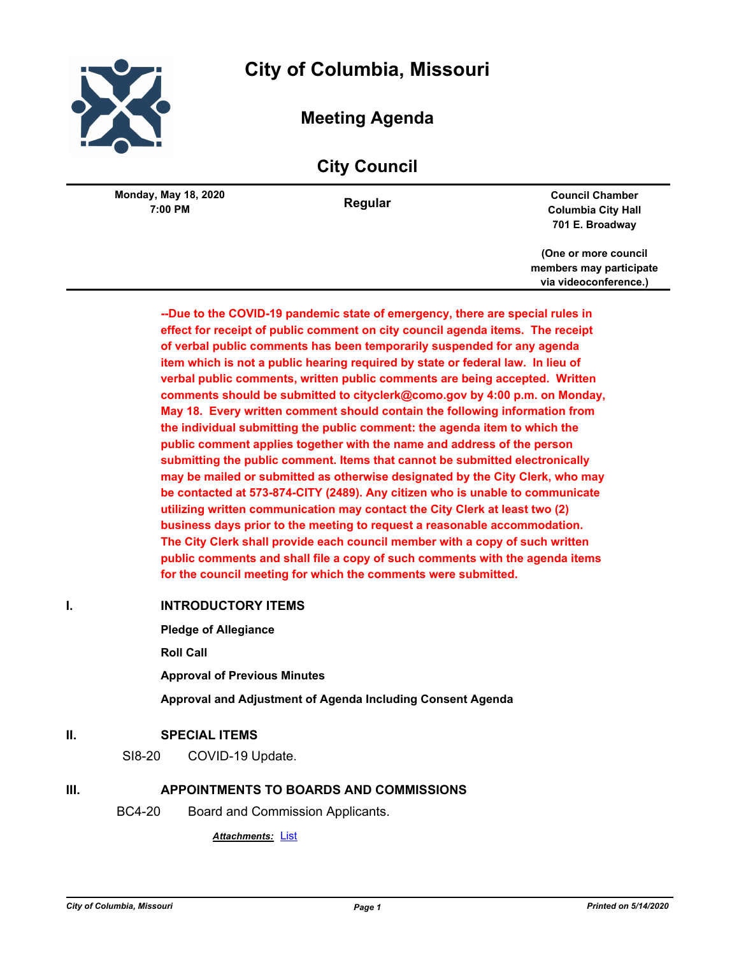

# **City of Columbia, Missouri**

# **Meeting Agenda**

# **City Council**

**7:00 PM Monday, May 18, 2020**

**Regular Council Chamber Columbia City Hall 701 E. Broadway**

> **(One or more council members may participate via videoconference.)**

**--Due to the COVID-19 pandemic state of emergency, there are special rules in effect for receipt of public comment on city council agenda items. The receipt of verbal public comments has been temporarily suspended for any agenda item which is not a public hearing required by state or federal law. In lieu of verbal public comments, written public comments are being accepted. Written comments should be submitted to cityclerk@como.gov by 4:00 p.m. on Monday, May 18. Every written comment should contain the following information from the individual submitting the public comment: the agenda item to which the public comment applies together with the name and address of the person submitting the public comment. Items that cannot be submitted electronically may be mailed or submitted as otherwise designated by the City Clerk, who may be contacted at 573-874-CITY (2489). Any citizen who is unable to communicate utilizing written communication may contact the City Clerk at least two (2) business days prior to the meeting to request a reasonable accommodation. The City Clerk shall provide each council member with a copy of such written public comments and shall file a copy of such comments with the agenda items for the council meeting for which the comments were submitted.**

#### **I. INTRODUCTORY ITEMS**

**Pledge of Allegiance**

**Roll Call**

**Approval of Previous Minutes**

**Approval and Adjustment of Agenda Including Consent Agenda**

#### **II. SPECIAL ITEMS**

SI8-20 COVID-19 Update.

### **III. APPOINTMENTS TO BOARDS AND COMMISSIONS**

BC4-20 Board and Commission Applicants.

*Attachments:* [List](http://gocolumbiamo.legistar.com/gateway.aspx?M=F&ID=32ede7e5-138a-4b3b-a24e-381b88fd1f1e.pdf)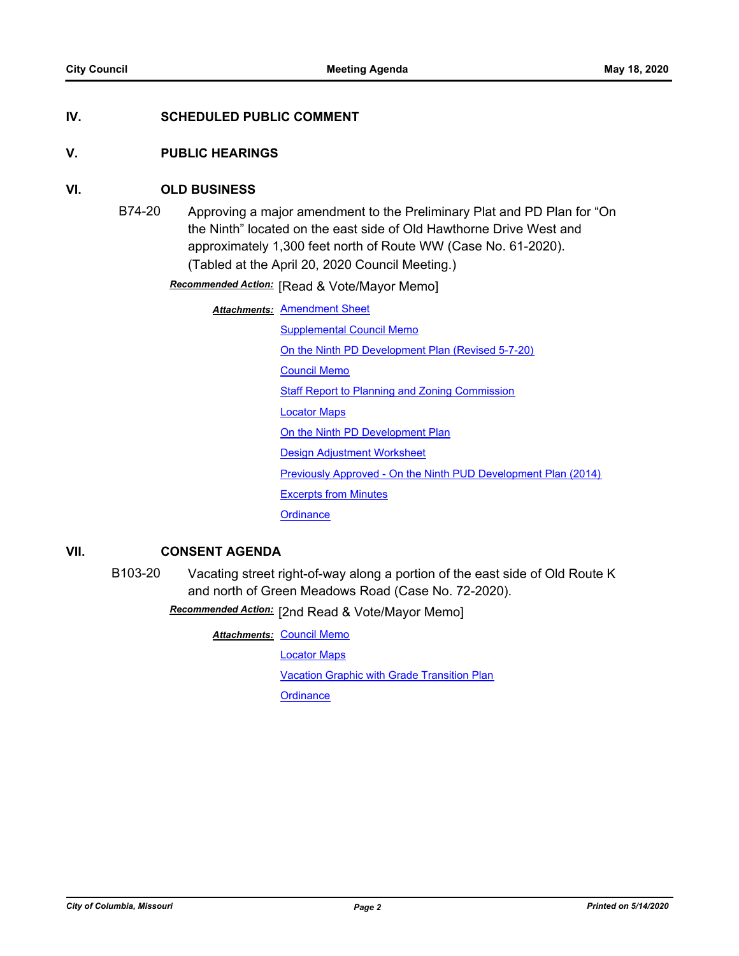### **IV. SCHEDULED PUBLIC COMMENT**

#### **V. PUBLIC HEARINGS**

#### **VI. OLD BUSINESS**

B74-20 Approving a major amendment to the Preliminary Plat and PD Plan for "On the Ninth" located on the east side of Old Hawthorne Drive West and approximately 1,300 feet north of Route WW (Case No. 61-2020). (Tabled at the April 20, 2020 Council Meeting.)

**Recommended Action:** [Read & Vote/Mayor Memo]

**Attachments: [Amendment Sheet](http://gocolumbiamo.legistar.com/gateway.aspx?M=F&ID=f2390d25-9cc8-48f6-be3e-6427f0cdde57.doc)** 

[Supplemental Council Memo](http://gocolumbiamo.legistar.com/gateway.aspx?M=F&ID=fdb89e02-1ed8-4c03-a5e2-d3b23b483554.docx)

[On the Ninth PD Development Plan \(Revised 5-7-20\)](http://gocolumbiamo.legistar.com/gateway.aspx?M=F&ID=ffcc2483-335e-4f1e-aa2e-a772be8c704c.pdf)

[Council Memo](http://gocolumbiamo.legistar.com/gateway.aspx?M=F&ID=2ef3a762-4058-415c-b23b-ebb79da10073.docx)

[Staff Report to Planning and Zoning Commission](http://gocolumbiamo.legistar.com/gateway.aspx?M=F&ID=90449b49-d3fe-4578-8480-625e32efbd85.docx)

[Locator Maps](http://gocolumbiamo.legistar.com/gateway.aspx?M=F&ID=dd71d8d8-7e1e-446b-8913-1febfda92ea2.pdf)

[On the Ninth PD Development Plan](http://gocolumbiamo.legistar.com/gateway.aspx?M=F&ID=b9842c23-b2bf-4b4f-a25a-9d4e59ad15b4.pdf)

[Design Adjustment Worksheet](http://gocolumbiamo.legistar.com/gateway.aspx?M=F&ID=db98dd8a-d0da-484b-96e3-cbad5f2ed0e2.pdf)

[Previously Approved - On the Ninth PUD Development Plan \(2014\)](http://gocolumbiamo.legistar.com/gateway.aspx?M=F&ID=429f3529-d54a-4de1-957a-c2cf258d07cd.pdf)

[Excerpts from Minutes](http://gocolumbiamo.legistar.com/gateway.aspx?M=F&ID=76c3046c-cb52-48b2-858e-ab1a1e71b350.docx)

**[Ordinance](http://gocolumbiamo.legistar.com/gateway.aspx?M=F&ID=74608dae-aa9e-4693-b9a9-44b09103aaa8.doc)** 

#### **VII. CONSENT AGENDA**

B103-20 Vacating street right-of-way along a portion of the east side of Old Route K and north of Green Meadows Road (Case No. 72-2020).

Recommended Action: [2nd Read & Vote/Mayor Memo]

**Attachments: [Council Memo](http://gocolumbiamo.legistar.com/gateway.aspx?M=F&ID=93fc2ffe-da5a-4332-afca-f021b65cc0fd.docx)** 

[Locator Maps](http://gocolumbiamo.legistar.com/gateway.aspx?M=F&ID=c210d5f1-9141-42ea-8c1b-a30f18d1ea1e.pdf)

[Vacation Graphic with Grade Transition Plan](http://gocolumbiamo.legistar.com/gateway.aspx?M=F&ID=d5ae9d0b-e09e-4dba-bb4a-ccd10ddc03bb.pdf)

**[Ordinance](http://gocolumbiamo.legistar.com/gateway.aspx?M=F&ID=0fe5daa5-50e7-4538-8b69-19a72ddcd0cc.doc)**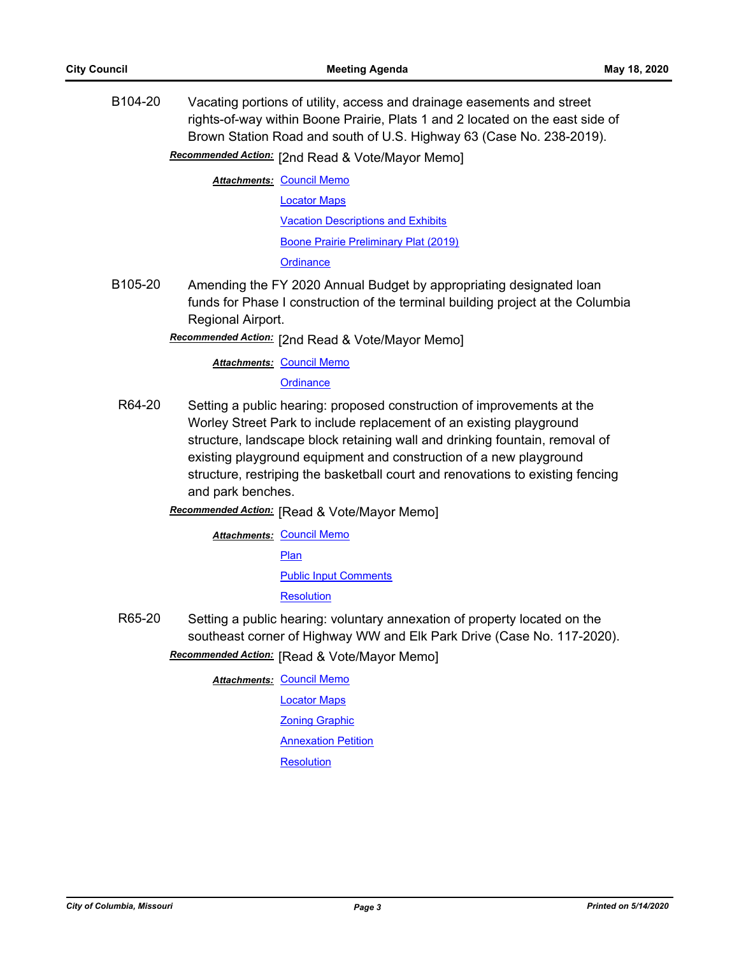B104-20 Vacating portions of utility, access and drainage easements and street rights-of-way within Boone Prairie, Plats 1 and 2 located on the east side of Brown Station Road and south of U.S. Highway 63 (Case No. 238-2019).

## Recommended Action: [2nd Read & Vote/Mayor Memo]

**Attachments: [Council Memo](http://gocolumbiamo.legistar.com/gateway.aspx?M=F&ID=22bead84-bbe1-460d-9630-0244d972a27c.docx)** [Locator Maps](http://gocolumbiamo.legistar.com/gateway.aspx?M=F&ID=a6cf2781-8366-42d1-970c-32146377ed33.pdf)

[Vacation Descriptions and Exhibits](http://gocolumbiamo.legistar.com/gateway.aspx?M=F&ID=76479b4f-6c3f-4f68-8c5b-af195f3e2098.pdf) [Boone Prairie Preliminary Plat \(2019\)](http://gocolumbiamo.legistar.com/gateway.aspx?M=F&ID=058d8e05-60a1-46a9-9486-826cd0bba793.pdf)

**[Ordinance](http://gocolumbiamo.legistar.com/gateway.aspx?M=F&ID=f27d1c70-a624-4a64-b066-5d308270fc40.doc)** 

B105-20 Amending the FY 2020 Annual Budget by appropriating designated loan funds for Phase I construction of the terminal building project at the Columbia Regional Airport.

Recommended Action: [2nd Read & Vote/Mayor Memo]

#### **Attachments: [Council Memo](http://gocolumbiamo.legistar.com/gateway.aspx?M=F&ID=e53a621b-6b5f-45b6-a0bf-63887515e002.docx)**

**[Ordinance](http://gocolumbiamo.legistar.com/gateway.aspx?M=F&ID=41220610-57ab-4711-80da-48d518801cfc.doc)** 

R64-20 Setting a public hearing: proposed construction of improvements at the Worley Street Park to include replacement of an existing playground structure, landscape block retaining wall and drinking fountain, removal of existing playground equipment and construction of a new playground structure, restriping the basketball court and renovations to existing fencing and park benches.

**Recommended Action:** [Read & Vote/Mayor Memo]

**Attachments: [Council Memo](http://gocolumbiamo.legistar.com/gateway.aspx?M=F&ID=5e476511-c67e-4292-9ab1-0aa949ff0f4d.docx)** [Plan](http://gocolumbiamo.legistar.com/gateway.aspx?M=F&ID=50e13b30-5d5a-4d4f-9e8f-e8cc8fff16a8.pdf) [Public Input Comments](http://gocolumbiamo.legistar.com/gateway.aspx?M=F&ID=243158d1-ace7-45eb-93e4-82cc9bf5a21d.pdf) **[Resolution](http://gocolumbiamo.legistar.com/gateway.aspx?M=F&ID=96229948-59d5-4a80-837a-5c32b2fe2c58.doc)** 

R65-20 Setting a public hearing: voluntary annexation of property located on the southeast corner of Highway WW and Elk Park Drive (Case No. 117-2020).

**Recommended Action:** [Read & Vote/Mayor Memo]

**Attachments: [Council Memo](http://gocolumbiamo.legistar.com/gateway.aspx?M=F&ID=13c16d77-cfbf-4a70-a62b-58c35d14f725.docx)** [Locator Maps](http://gocolumbiamo.legistar.com/gateway.aspx?M=F&ID=d9f71dae-3a3f-476a-8594-53775362c7ae.pdf)

[Zoning Graphic](http://gocolumbiamo.legistar.com/gateway.aspx?M=F&ID=195732be-795a-42d9-94f5-106d2278dc9f.pdf)

[Annexation Petition](http://gocolumbiamo.legistar.com/gateway.aspx?M=F&ID=c63ad095-dab4-4ba9-9868-2aa24fcbd661.pdf)

**[Resolution](http://gocolumbiamo.legistar.com/gateway.aspx?M=F&ID=e56fe98f-bd29-40bb-b6f2-68e1f77637fc.doc)**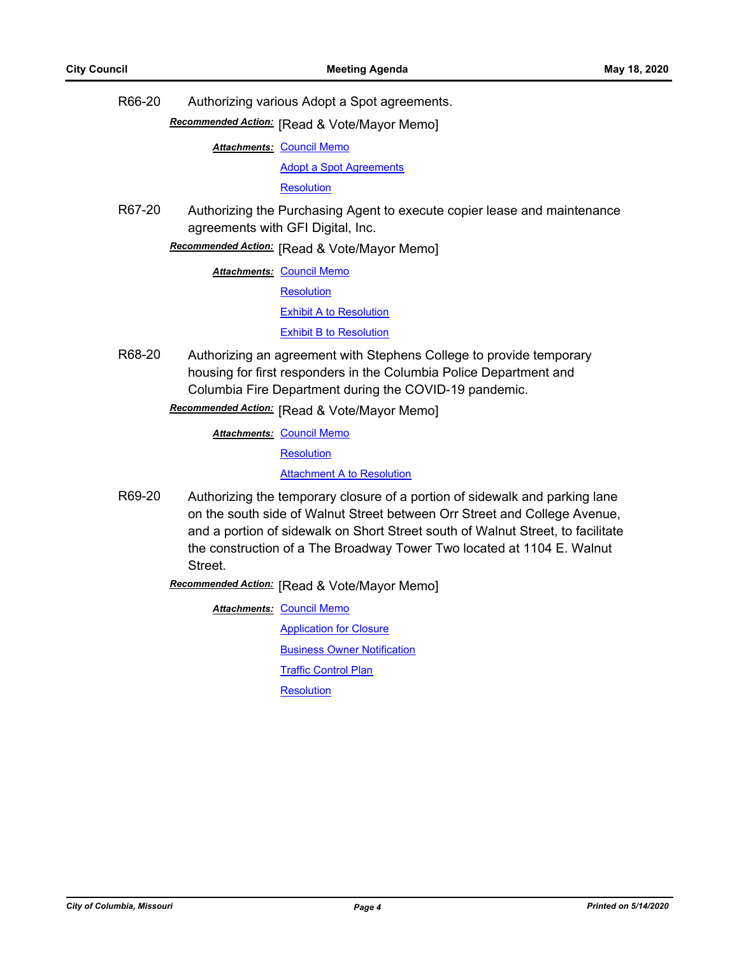R66-20 Authorizing various Adopt a Spot agreements.

**Recommended Action:** [Read & Vote/Mayor Memo]

**Attachments: [Council Memo](http://gocolumbiamo.legistar.com/gateway.aspx?M=F&ID=ab5938ff-71ee-423c-9933-b5b4b564910f.docx)** 

[Adopt a Spot Agreements](http://gocolumbiamo.legistar.com/gateway.aspx?M=F&ID=5779d77a-2779-4cab-a690-0281347bf25b.pdf)

**[Resolution](http://gocolumbiamo.legistar.com/gateway.aspx?M=F&ID=04c0b6b4-598a-4b3b-a471-11cc109cb9d1.doc)** 

R67-20 Authorizing the Purchasing Agent to execute copier lease and maintenance agreements with GFI Digital, Inc.

## **Recommended Action:** [Read & Vote/Mayor Memo]

**Attachments: [Council Memo](http://gocolumbiamo.legistar.com/gateway.aspx?M=F&ID=9f3e7c2d-d842-4b5a-ab94-841c1020b680.docx)** 

**[Resolution](http://gocolumbiamo.legistar.com/gateway.aspx?M=F&ID=d9a77380-8e1c-4a96-a6f1-2d1b16047755.doc)** 

[Exhibit A to Resolution](http://gocolumbiamo.legistar.com/gateway.aspx?M=F&ID=9ca12662-a53e-46b6-9757-1bb06f7c199d.pdf)

**[Exhibit B to Resolution](http://gocolumbiamo.legistar.com/gateway.aspx?M=F&ID=13ae16d6-2f75-47d3-8f51-39197cb394ba.pdf)** 

R68-20 Authorizing an agreement with Stephens College to provide temporary housing for first responders in the Columbia Police Department and Columbia Fire Department during the COVID-19 pandemic.

**Recommended Action:** [Read & Vote/Mayor Memo]

**Attachments: [Council Memo](http://gocolumbiamo.legistar.com/gateway.aspx?M=F&ID=4de08b18-1a3b-46ca-87d4-cc1b0e2cb01d.docx)** 

**[Resolution](http://gocolumbiamo.legistar.com/gateway.aspx?M=F&ID=10329b18-ce6e-456b-8bb2-cb9bb05d7829.doc)** 

[Attachment A to Resolution](http://gocolumbiamo.legistar.com/gateway.aspx?M=F&ID=0b2de277-9ea1-4a38-8d8f-574b6c65a192.pdf)

R69-20 Authorizing the temporary closure of a portion of sidewalk and parking lane on the south side of Walnut Street between Orr Street and College Avenue, and a portion of sidewalk on Short Street south of Walnut Street, to facilitate the construction of a The Broadway Tower Two located at 1104 E. Walnut Street.

**Recommended Action:** [Read & Vote/Mayor Memo]

**Attachments: [Council Memo](http://gocolumbiamo.legistar.com/gateway.aspx?M=F&ID=a876590a-8fbc-4e5b-8d08-9afa9eb621a8.docx)** 

[Application for Closure](http://gocolumbiamo.legistar.com/gateway.aspx?M=F&ID=00748ec8-f401-42b9-920b-f2bbf5c24ba5.pdf) [Business Owner Notification](http://gocolumbiamo.legistar.com/gateway.aspx?M=F&ID=1fdeabda-a753-4acd-b892-cae543dc533b.pdf)

**[Traffic Control Plan](http://gocolumbiamo.legistar.com/gateway.aspx?M=F&ID=bef3db80-c54f-4b6d-96ea-095ab81909e5.pdf)** 

**[Resolution](http://gocolumbiamo.legistar.com/gateway.aspx?M=F&ID=8b09899a-7bfd-4f65-af8f-e7a1f58df387.doc)**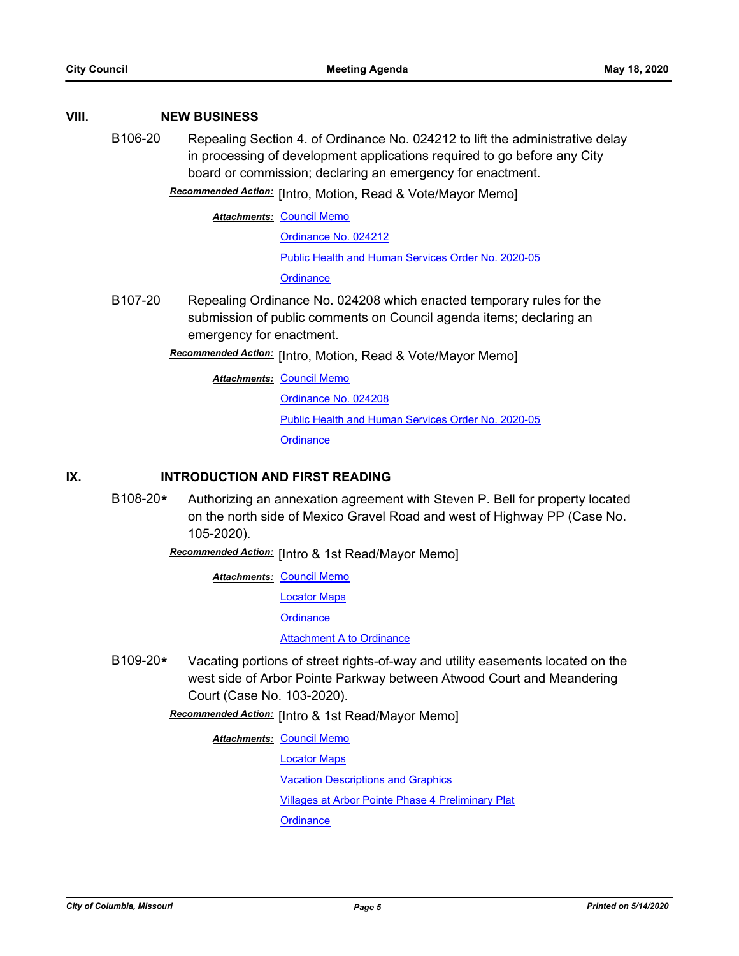#### **VIII. NEW BUSINESS**

B106-20 Repealing Section 4. of Ordinance No. 024212 to lift the administrative delay in processing of development applications required to go before any City board or commission; declaring an emergency for enactment.

**Recommended Action:** [Intro, Motion, Read & Vote/Mayor Memo]

**Attachments: [Council Memo](http://gocolumbiamo.legistar.com/gateway.aspx?M=F&ID=048cd509-ca7e-40b3-9bc5-09238a3125bb.docx)** 

[Ordinance No. 024212](http://gocolumbiamo.legistar.com/gateway.aspx?M=F&ID=9da11aab-60a2-4c09-87ba-c04d093b9062.pdf)

[Public Health and Human Services Order No. 2020-05](http://gocolumbiamo.legistar.com/gateway.aspx?M=F&ID=24b5340d-89b6-4a22-ac03-28f90c25c71f.pdf)

**[Ordinance](http://gocolumbiamo.legistar.com/gateway.aspx?M=F&ID=8d874bcd-d016-4750-aee7-fcf8bfab0bee.doc)** 

- B107-20 Repealing Ordinance No. 024208 which enacted temporary rules for the submission of public comments on Council agenda items; declaring an emergency for enactment.
	- [Intro, Motion, Read & Vote/Mayor Memo] *Recommended Action:*

**Attachments: [Council Memo](http://gocolumbiamo.legistar.com/gateway.aspx?M=F&ID=2fb1b39f-3bcf-4322-b411-86828418d773.docx)** [Ordinance No. 024208](http://gocolumbiamo.legistar.com/gateway.aspx?M=F&ID=ec790f2d-3067-49f6-af8a-592ca6ceba39.pdf) [Public Health and Human Services Order No. 2020-05](http://gocolumbiamo.legistar.com/gateway.aspx?M=F&ID=79017cec-6114-49e9-bc18-de197afdce33.pdf) **[Ordinance](http://gocolumbiamo.legistar.com/gateway.aspx?M=F&ID=3e3bb491-1cf0-4ce3-bb55-37f9e787ccd4.doc)** 

### **IX. INTRODUCTION AND FIRST READING**

B108-20**\*** Authorizing an annexation agreement with Steven P. Bell for property located on the north side of Mexico Gravel Road and west of Highway PP (Case No. 105-2020).

Recommended Action: [Intro & 1st Read/Mayor Memo]

**Attachments: [Council Memo](http://gocolumbiamo.legistar.com/gateway.aspx?M=F&ID=54f07bf7-ea85-4775-b6fa-8372f05bb483.docx)** 

[Locator Maps](http://gocolumbiamo.legistar.com/gateway.aspx?M=F&ID=de3ec2f4-2037-4ae2-b154-049198f7d27f.pdf)

**[Ordinance](http://gocolumbiamo.legistar.com/gateway.aspx?M=F&ID=29025643-15f5-4d42-a715-8da51760c159.doc)** 

[Attachment A to Ordinance](http://gocolumbiamo.legistar.com/gateway.aspx?M=F&ID=99c007b7-4c1e-411c-a4ff-b3a98e29f7ad.pdf)

B109-20**\*** Vacating portions of street rights-of-way and utility easements located on the west side of Arbor Pointe Parkway between Atwood Court and Meandering Court (Case No. 103-2020).

**Recommended Action:** [Intro & 1st Read/Mayor Memo]

**Attachments: [Council Memo](http://gocolumbiamo.legistar.com/gateway.aspx?M=F&ID=90187fcf-0831-4b22-a512-f627b9359e74.docx)** 

[Locator Maps](http://gocolumbiamo.legistar.com/gateway.aspx?M=F&ID=9c517209-106c-433a-94d2-541c7bb971af.pdf)

[Vacation Descriptions and Graphics](http://gocolumbiamo.legistar.com/gateway.aspx?M=F&ID=eb467cf9-7ce4-468a-8090-7983a9064b47.pdf)

[Villages at Arbor Pointe Phase 4 Preliminary Plat](http://gocolumbiamo.legistar.com/gateway.aspx?M=F&ID=baa21da9-51ad-472e-8763-1f13dd7f13ef.pdf)

**[Ordinance](http://gocolumbiamo.legistar.com/gateway.aspx?M=F&ID=945e70b8-975a-4260-b0f6-e639b6d582b7.doc)**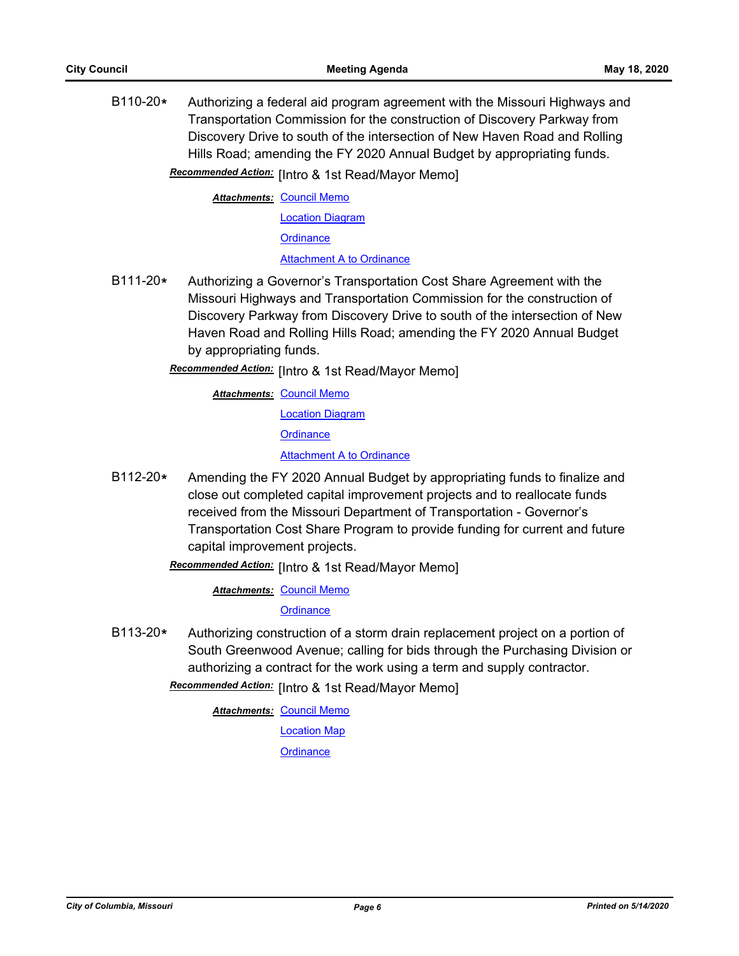B110-20**\*** Authorizing a federal aid program agreement with the Missouri Highways and Transportation Commission for the construction of Discovery Parkway from Discovery Drive to south of the intersection of New Haven Road and Rolling Hills Road; amending the FY 2020 Annual Budget by appropriating funds. **Recommended Action:** [Intro & 1st Read/Mayor Memo]

**Attachments: [Council Memo](http://gocolumbiamo.legistar.com/gateway.aspx?M=F&ID=07c11ef2-5a80-4843-9ef8-5a0bcb72c6cd.docx)** 

[Location Diagram](http://gocolumbiamo.legistar.com/gateway.aspx?M=F&ID=016cdaea-74fb-4a18-a1cf-b44cef1ce65e.jpg) **[Ordinance](http://gocolumbiamo.legistar.com/gateway.aspx?M=F&ID=8f309913-dc2c-4764-90c1-8e954fb21cad.doc)** [Attachment A to Ordinance](http://gocolumbiamo.legistar.com/gateway.aspx?M=F&ID=5365364b-a0e7-4b95-bc38-4df8f9dd9811.pdf)

B111-20**\*** Authorizing a Governor's Transportation Cost Share Agreement with the Missouri Highways and Transportation Commission for the construction of Discovery Parkway from Discovery Drive to south of the intersection of New Haven Road and Rolling Hills Road; amending the FY 2020 Annual Budget by appropriating funds.

[Intro & 1st Read/Mayor Memo] *Recommended Action:*

**Attachments: [Council Memo](http://gocolumbiamo.legistar.com/gateway.aspx?M=F&ID=f684d939-977d-433f-a6e9-aaa0a14503bb.docx)** [Location Diagram](http://gocolumbiamo.legistar.com/gateway.aspx?M=F&ID=79558938-ba4f-476c-8f3e-e2c0d87d457b.jpg) **[Ordinance](http://gocolumbiamo.legistar.com/gateway.aspx?M=F&ID=98bc6e62-465f-48a8-a45e-457f92111c51.doc)** [Attachment A to Ordinance](http://gocolumbiamo.legistar.com/gateway.aspx?M=F&ID=447150bb-6152-493c-920c-12973082df5f.pdf)

B112-20**\*** Amending the FY 2020 Annual Budget by appropriating funds to finalize and close out completed capital improvement projects and to reallocate funds received from the Missouri Department of Transportation - Governor's Transportation Cost Share Program to provide funding for current and future capital improvement projects.

Recommended Action: [Intro & 1st Read/Mayor Memo]

**Attachments: [Council Memo](http://gocolumbiamo.legistar.com/gateway.aspx?M=F&ID=e1fd0fdf-0481-46fd-a484-790975796392.docx)** 

**[Ordinance](http://gocolumbiamo.legistar.com/gateway.aspx?M=F&ID=90f8d99e-b62d-4f9e-b1a7-49e28f6c8872.doc)** 

B113-20**\*** Authorizing construction of a storm drain replacement project on a portion of South Greenwood Avenue; calling for bids through the Purchasing Division or authorizing a contract for the work using a term and supply contractor.

Recommended Action: [Intro & 1st Read/Mayor Memo]

**Attachments: [Council Memo](http://gocolumbiamo.legistar.com/gateway.aspx?M=F&ID=72ebdc93-0ef6-42fd-b798-f702f4ed825f.docx)** [Location Map](http://gocolumbiamo.legistar.com/gateway.aspx?M=F&ID=be85550e-12e3-4559-a1ce-e64354c95c97.pdf) **[Ordinance](http://gocolumbiamo.legistar.com/gateway.aspx?M=F&ID=fe165f23-973d-4ffc-a080-1c3551cec75a.doc)**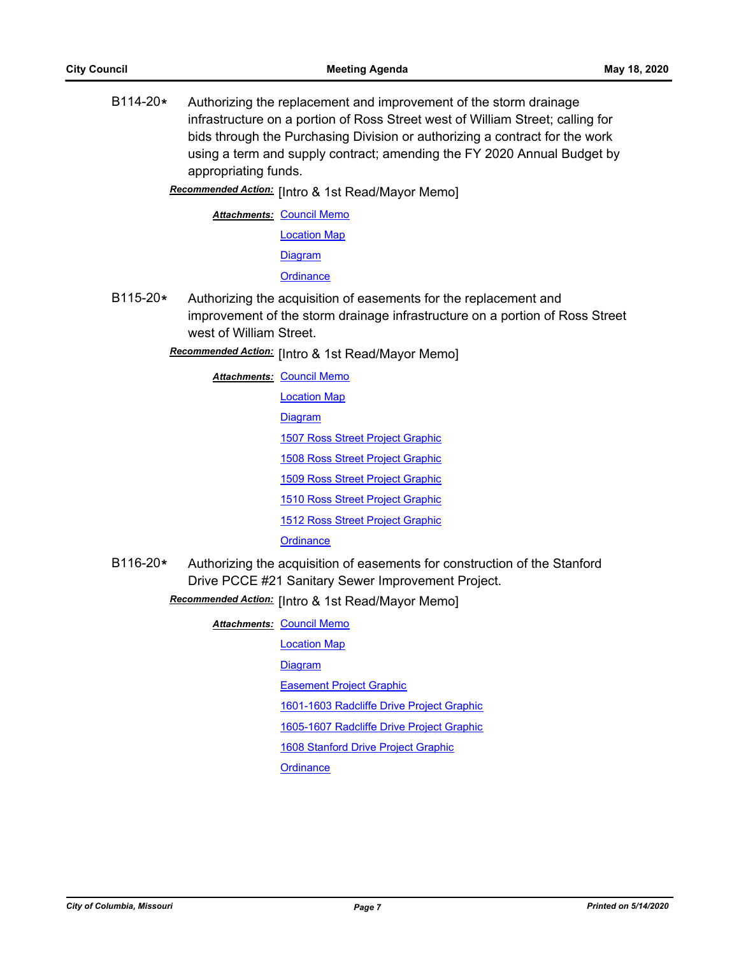B114-20**\*** Authorizing the replacement and improvement of the storm drainage infrastructure on a portion of Ross Street west of William Street; calling for bids through the Purchasing Division or authorizing a contract for the work using a term and supply contract; amending the FY 2020 Annual Budget by appropriating funds.

[Intro & 1st Read/Mayor Memo] *Recommended Action:*

**Attachments: [Council Memo](http://gocolumbiamo.legistar.com/gateway.aspx?M=F&ID=8dd18894-1f76-4195-a980-1ccb0b4d5028.docx)** [Location Map](http://gocolumbiamo.legistar.com/gateway.aspx?M=F&ID=07db6043-d396-46f1-8c5d-659ba8652623.pdf) [Diagram](http://gocolumbiamo.legistar.com/gateway.aspx?M=F&ID=2a882007-99f3-4e18-ab6c-845e46e92214.pdf) **[Ordinance](http://gocolumbiamo.legistar.com/gateway.aspx?M=F&ID=3424ad2c-bcfc-450c-b28f-63f1fec86ff3.doc)** 

B115-20**\*** Authorizing the acquisition of easements for the replacement and improvement of the storm drainage infrastructure on a portion of Ross Street west of William Street.

Recommended Action: [Intro & 1st Read/Mayor Memo]

**Attachments: [Council Memo](http://gocolumbiamo.legistar.com/gateway.aspx?M=F&ID=c5ef4c42-bd7a-4925-90df-63b669b51678.docx)** [Location Map](http://gocolumbiamo.legistar.com/gateway.aspx?M=F&ID=e0a129da-30ab-4d10-9fa7-887834c0068c.pdf) [Diagram](http://gocolumbiamo.legistar.com/gateway.aspx?M=F&ID=bdbdaabe-daf4-4e69-a9e8-bad4de7f0d91.pdf) **[1507 Ross Street Project Graphic](http://gocolumbiamo.legistar.com/gateway.aspx?M=F&ID=f51377cb-caac-4d36-8065-899f5996c05c.pdf)** [1508 Ross Street Project Graphic](http://gocolumbiamo.legistar.com/gateway.aspx?M=F&ID=8469c137-018e-42bc-b225-28dcc751ac88.pdf) [1509 Ross Street Project Graphic](http://gocolumbiamo.legistar.com/gateway.aspx?M=F&ID=503cedd0-9e31-4dfb-83fb-da8248b2b920.pdf) [1510 Ross Street Project Graphic](http://gocolumbiamo.legistar.com/gateway.aspx?M=F&ID=8b35684b-d9ee-43a0-b89a-e74d158d7bcd.pdf) [1512 Ross Street Project Graphic](http://gocolumbiamo.legistar.com/gateway.aspx?M=F&ID=d0407817-7749-4fd6-8d15-70d033e9e927.pdf) **[Ordinance](http://gocolumbiamo.legistar.com/gateway.aspx?M=F&ID=bfe9a3f7-27dc-48a4-aaf4-00756262634f.doc)** 

B116-20**\*** Authorizing the acquisition of easements for construction of the Stanford Drive PCCE #21 Sanitary Sewer Improvement Project.

Recommended Action: [Intro & 1st Read/Mayor Memo]

| <b>Attachments: Council Memo</b>          |
|-------------------------------------------|
| <b>Location Map</b>                       |
| <b>Diagram</b>                            |
| <b>Easement Project Graphic</b>           |
| 1601-1603 Radcliffe Drive Project Graphic |
| 1605-1607 Radcliffe Drive Project Graphic |
| 1608 Stanford Drive Project Graphic       |
| Ordinance                                 |
|                                           |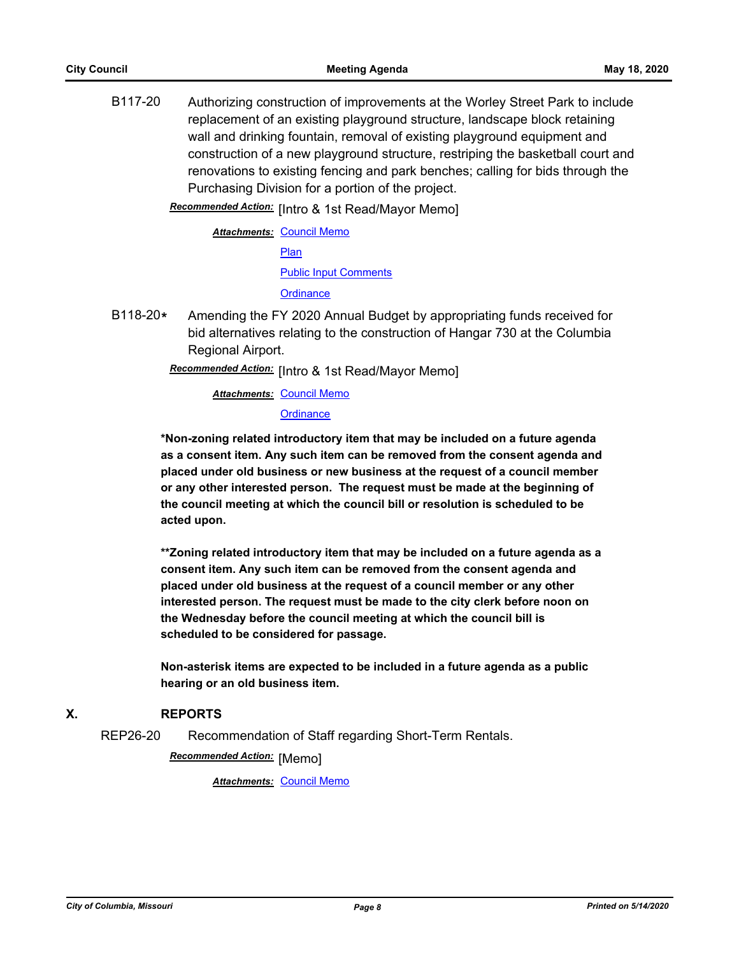B117-20 Authorizing construction of improvements at the Worley Street Park to include replacement of an existing playground structure, landscape block retaining wall and drinking fountain, removal of existing playground equipment and construction of a new playground structure, restriping the basketball court and renovations to existing fencing and park benches; calling for bids through the Purchasing Division for a portion of the project.

Recommended Action: [Intro & 1st Read/Mayor Memo]

**Attachments: [Council Memo](http://gocolumbiamo.legistar.com/gateway.aspx?M=F&ID=1f9655e6-d7f2-42b4-9e95-eae8754f3bd3.docx)** [Plan](http://gocolumbiamo.legistar.com/gateway.aspx?M=F&ID=8e1bac7c-5271-427c-8d08-17d37c16715c.pdf) [Public Input Comments](http://gocolumbiamo.legistar.com/gateway.aspx?M=F&ID=cb880ac0-14ed-43d9-b69a-251fe5ce4e47.pdf) **[Ordinance](http://gocolumbiamo.legistar.com/gateway.aspx?M=F&ID=d9a30f5f-7b55-4d22-8fe1-53454b83e2a3.doc)** 

B118-20**\*** Amending the FY 2020 Annual Budget by appropriating funds received for bid alternatives relating to the construction of Hangar 730 at the Columbia Regional Airport.

[Intro & 1st Read/Mayor Memo] *Recommended Action:*

**Attachments: [Council Memo](http://gocolumbiamo.legistar.com/gateway.aspx?M=F&ID=28fc06dc-c81a-4996-8f3d-a1af42295f2f.docx) [Ordinance](http://gocolumbiamo.legistar.com/gateway.aspx?M=F&ID=d325ae7f-2203-4f09-8c58-2f03970eae7e.doc)** 

**\*Non-zoning related introductory item that may be included on a future agenda as a consent item. Any such item can be removed from the consent agenda and placed under old business or new business at the request of a council member or any other interested person. The request must be made at the beginning of the council meeting at which the council bill or resolution is scheduled to be acted upon.** 

**\*\*Zoning related introductory item that may be included on a future agenda as a consent item. Any such item can be removed from the consent agenda and placed under old business at the request of a council member or any other interested person. The request must be made to the city clerk before noon on the Wednesday before the council meeting at which the council bill is scheduled to be considered for passage.**

**Non-asterisk items are expected to be included in a future agenda as a public hearing or an old business item.**

#### **X. REPORTS**

REP26-20 Recommendation of Staff regarding Short-Term Rentals.

**Recommended Action:** [Memo]

*Attachments:* [Council Memo](http://gocolumbiamo.legistar.com/gateway.aspx?M=F&ID=f576e846-658d-41d4-b0fc-930b2b6b95fe.docx)